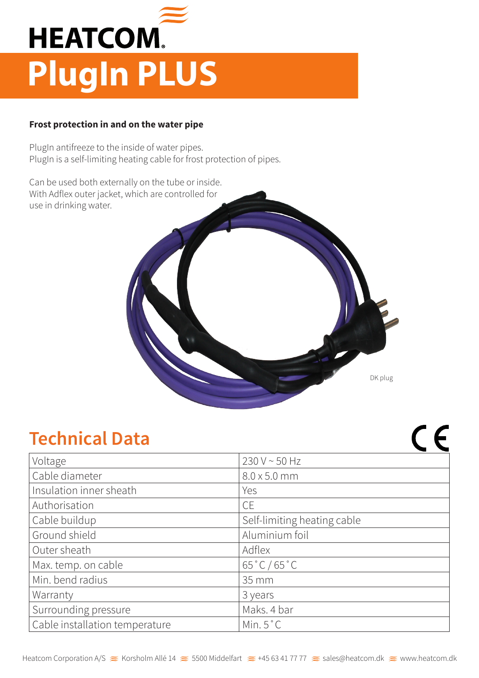

## **Frost protection in and on the water pipe**

PlugIn antifreeze to the inside of water pipes. PlugIn is a self-limiting heating cable for frost protection of pipes.

Can be used both externally on the tube or inside. With Adflex outer jacket, which are controlled for use in drinking water.



 $\epsilon$ 

## **Technical Data**

| Voltage                        | 230 V ~ 50 Hz               |  |  |
|--------------------------------|-----------------------------|--|--|
| Cable diameter                 | $8.0 \times 5.0$ mm         |  |  |
| Insulation inner sheath        | Yes                         |  |  |
| Authorisation                  | <b>CE</b>                   |  |  |
| Cable buildup                  | Self-limiting heating cable |  |  |
| Ground shield                  | Aluminium foil              |  |  |
| Outer sheath                   | Adflex                      |  |  |
| Max. temp. on cable            | $65\degree C / 65\degree C$ |  |  |
| Min. bend radius               | 35 mm                       |  |  |
| Warranty                       | 3 years                     |  |  |
| Surrounding pressure           | Maks. 4 bar                 |  |  |
| Cable installation temperature | Min. $5^{\circ}$ C          |  |  |